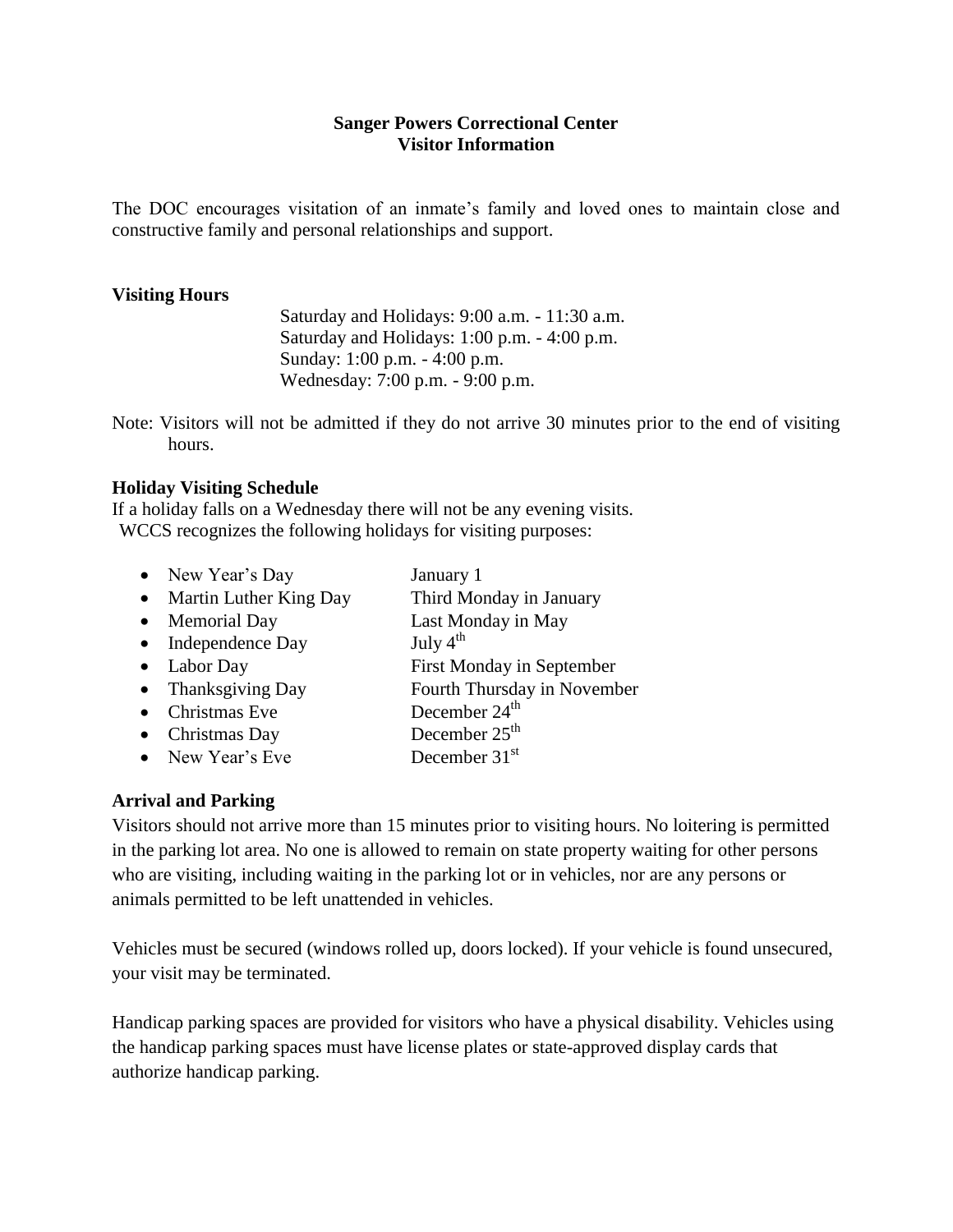#### **Sanger Powers Correctional Center Visitor Information**

The DOC encourages visitation of an inmate's family and loved ones to maintain close and constructive family and personal relationships and support.

#### **Visiting Hours**

Saturday and Holidays: 9:00 a.m. - 11:30 a.m. Saturday and Holidays: 1:00 p.m. - 4:00 p.m. Sunday: 1:00 p.m. - 4:00 p.m. Wednesday: 7:00 p.m. - 9:00 p.m.

Note: Visitors will not be admitted if they do not arrive 30 minutes prior to the end of visiting hours.

#### **Holiday Visiting Schedule**

If a holiday falls on a Wednesday there will not be any evening visits. WCCS recognizes the following holidays for visiting purposes:

| New Year's Day          | January 1                        |
|-------------------------|----------------------------------|
| Martin Luther King Day  | Third Monday in January          |
| <b>Memorial Day</b>     | Last Monday in May               |
| Independence Day        | July $4^{\text{th}}$             |
| Labor Day               | <b>First Monday in September</b> |
| <b>Thanksgiving Day</b> | Fourth Thursday in November      |
| Christmas Eve           | December 24 <sup>th</sup>        |
| Christmas Day           | December $25th$                  |
| New Year's Eve          | December $31st$                  |
|                         |                                  |

#### **Arrival and Parking**

Visitors should not arrive more than 15 minutes prior to visiting hours. No loitering is permitted in the parking lot area. No one is allowed to remain on state property waiting for other persons who are visiting, including waiting in the parking lot or in vehicles, nor are any persons or animals permitted to be left unattended in vehicles.

Vehicles must be secured (windows rolled up, doors locked). If your vehicle is found unsecured, your visit may be terminated.

Handicap parking spaces are provided for visitors who have a physical disability. Vehicles using the handicap parking spaces must have license plates or state-approved display cards that authorize handicap parking.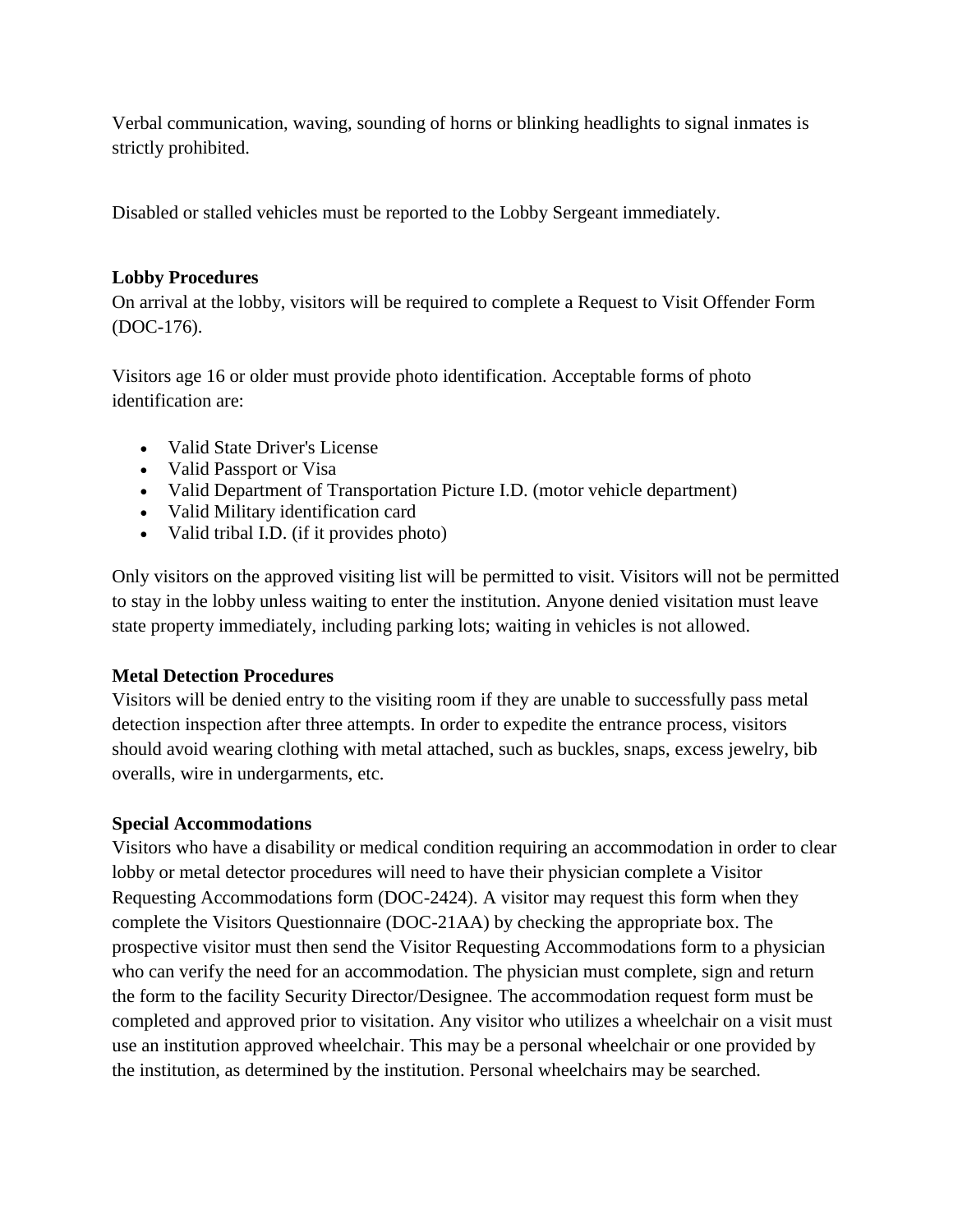Verbal communication, waving, sounding of horns or blinking headlights to signal inmates is strictly prohibited.

Disabled or stalled vehicles must be reported to the Lobby Sergeant immediately.

# **Lobby Procedures**

On arrival at the lobby, visitors will be required to complete a Request to Visit Offender Form (DOC-176).

Visitors age 16 or older must provide photo identification. Acceptable forms of photo identification are:

- Valid State Driver's License
- Valid Passport or Visa
- Valid Department of Transportation Picture I.D. (motor vehicle department)
- Valid Military identification card
- Valid tribal I.D. (if it provides photo)

Only visitors on the approved visiting list will be permitted to visit. Visitors will not be permitted to stay in the lobby unless waiting to enter the institution. Anyone denied visitation must leave state property immediately, including parking lots; waiting in vehicles is not allowed.

# **Metal Detection Procedures**

Visitors will be denied entry to the visiting room if they are unable to successfully pass metal detection inspection after three attempts. In order to expedite the entrance process, visitors should avoid wearing clothing with metal attached, such as buckles, snaps, excess jewelry, bib overalls, wire in undergarments, etc.

### **Special Accommodations**

Visitors who have a disability or medical condition requiring an accommodation in order to clear lobby or metal detector procedures will need to have their physician complete a Visitor Requesting Accommodations form (DOC-2424). A visitor may request this form when they complete the Visitors Questionnaire (DOC-21AA) by checking the appropriate box. The prospective visitor must then send the Visitor Requesting Accommodations form to a physician who can verify the need for an accommodation. The physician must complete, sign and return the form to the facility Security Director/Designee. The accommodation request form must be completed and approved prior to visitation. Any visitor who utilizes a wheelchair on a visit must use an institution approved wheelchair. This may be a personal wheelchair or one provided by the institution, as determined by the institution. Personal wheelchairs may be searched.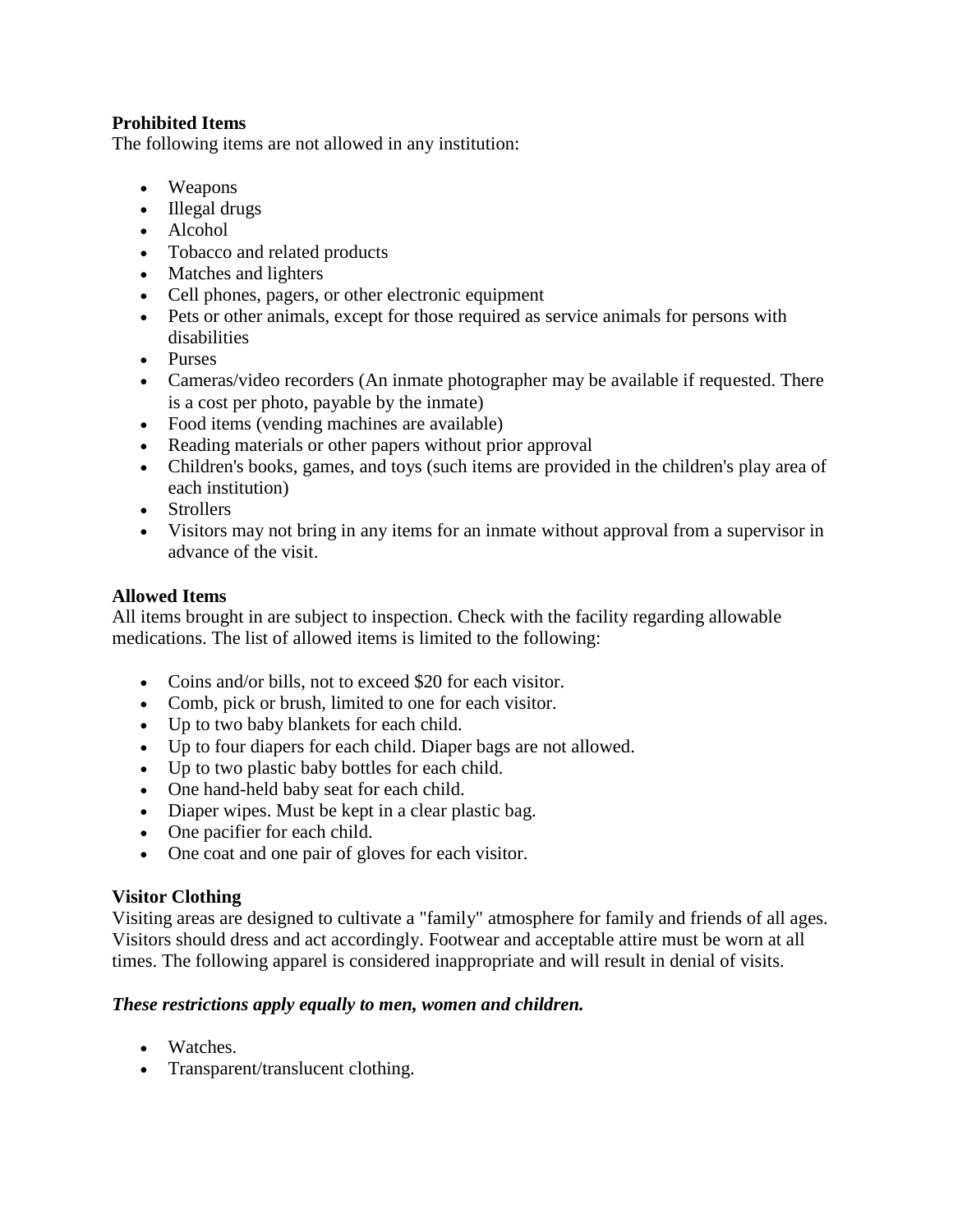### **Prohibited Items**

The following items are not allowed in any institution:

- Weapons
- Illegal drugs
- Alcohol
- Tobacco and related products
- Matches and lighters
- Cell phones, pagers, or other electronic equipment
- Pets or other animals, except for those required as service animals for persons with disabilities
- Purses
- Cameras/video recorders (An inmate photographer may be available if requested. There is a cost per photo, payable by the inmate)
- Food items (vending machines are available)
- Reading materials or other papers without prior approval
- Children's books, games, and toys (such items are provided in the children's play area of each institution)
- Strollers
- Visitors may not bring in any items for an inmate without approval from a supervisor in advance of the visit.

### **Allowed Items**

All items brought in are subject to inspection. Check with the facility regarding allowable medications. The list of allowed items is limited to the following:

- Coins and/or bills, not to exceed \$20 for each visitor.
- Comb, pick or brush, limited to one for each visitor.
- Up to two baby blankets for each child.
- Up to four diapers for each child. Diaper bags are not allowed.
- Up to two plastic baby bottles for each child.
- One hand-held baby seat for each child.
- Diaper wipes. Must be kept in a clear plastic bag.
- One pacifier for each child.
- One coat and one pair of gloves for each visitor.

### **Visitor Clothing**

Visiting areas are designed to cultivate a "family" atmosphere for family and friends of all ages. Visitors should dress and act accordingly. Footwear and acceptable attire must be worn at all times. The following apparel is considered inappropriate and will result in denial of visits.

### *These restrictions apply equally to men, women and children.*

- Watches.
- Transparent/translucent clothing.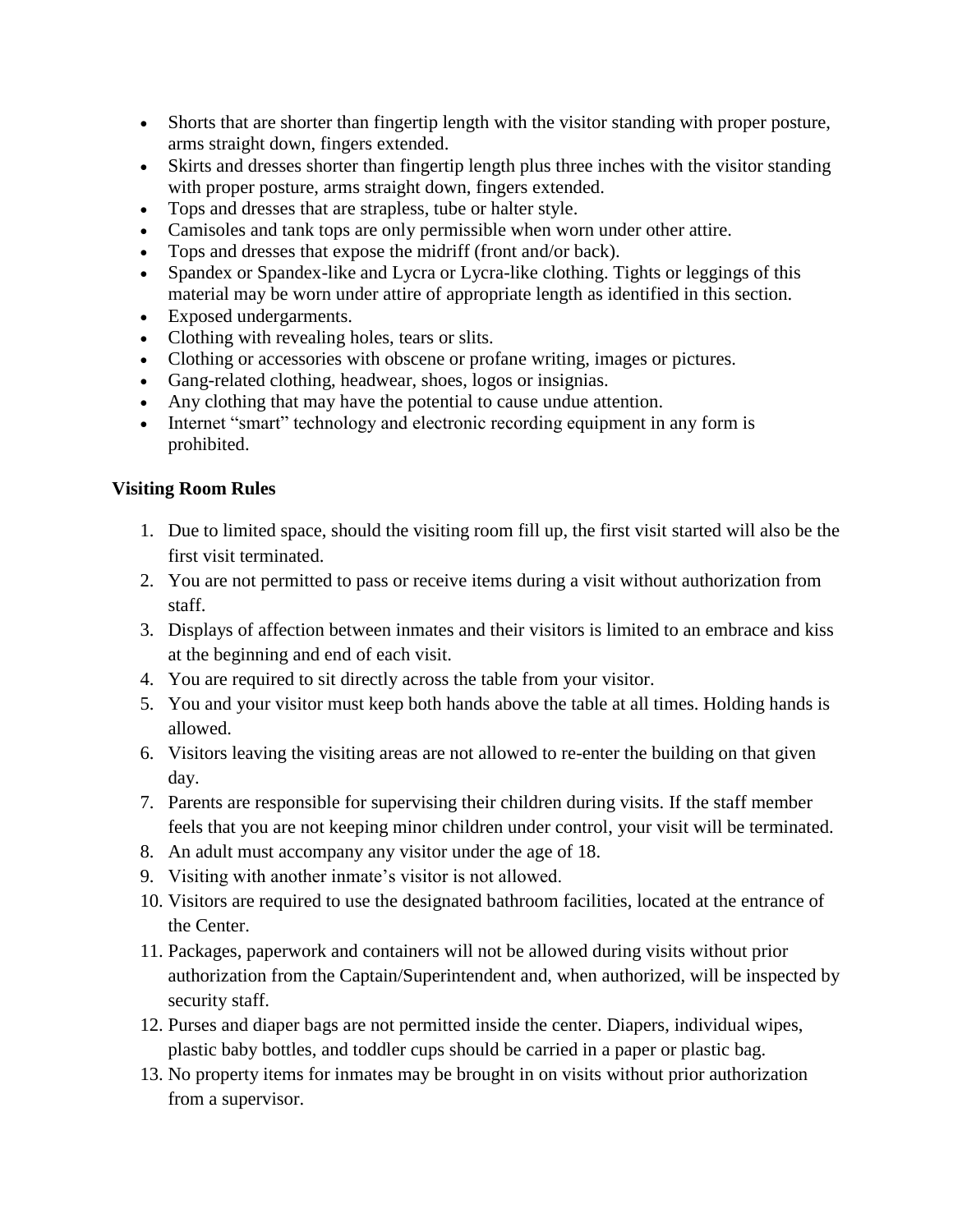- Shorts that are shorter than fingertip length with the visitor standing with proper posture, arms straight down, fingers extended.
- Skirts and dresses shorter than fingertip length plus three inches with the visitor standing with proper posture, arms straight down, fingers extended.
- Tops and dresses that are strapless, tube or halter style.
- Camisoles and tank tops are only permissible when worn under other attire.
- Tops and dresses that expose the midriff (front and/or back).
- Spandex or Spandex-like and Lycra or Lycra-like clothing. Tights or leggings of this material may be worn under attire of appropriate length as identified in this section.
- Exposed undergarments.
- Clothing with revealing holes, tears or slits.
- Clothing or accessories with obscene or profane writing, images or pictures.
- Gang-related clothing, headwear, shoes, logos or insignias.
- Any clothing that may have the potential to cause undue attention.
- Internet "smart" technology and electronic recording equipment in any form is prohibited.

# **Visiting Room Rules**

- 1. Due to limited space, should the visiting room fill up, the first visit started will also be the first visit terminated.
- 2. You are not permitted to pass or receive items during a visit without authorization from staff.
- 3. Displays of affection between inmates and their visitors is limited to an embrace and kiss at the beginning and end of each visit.
- 4. You are required to sit directly across the table from your visitor.
- 5. You and your visitor must keep both hands above the table at all times. Holding hands is allowed.
- 6. Visitors leaving the visiting areas are not allowed to re-enter the building on that given day.
- 7. Parents are responsible for supervising their children during visits. If the staff member feels that you are not keeping minor children under control, your visit will be terminated.
- 8. An adult must accompany any visitor under the age of 18.
- 9. Visiting with another inmate's visitor is not allowed.
- 10. Visitors are required to use the designated bathroom facilities, located at the entrance of the Center.
- 11. Packages, paperwork and containers will not be allowed during visits without prior authorization from the Captain/Superintendent and, when authorized, will be inspected by security staff.
- 12. Purses and diaper bags are not permitted inside the center. Diapers, individual wipes, plastic baby bottles, and toddler cups should be carried in a paper or plastic bag.
- 13. No property items for inmates may be brought in on visits without prior authorization from a supervisor.